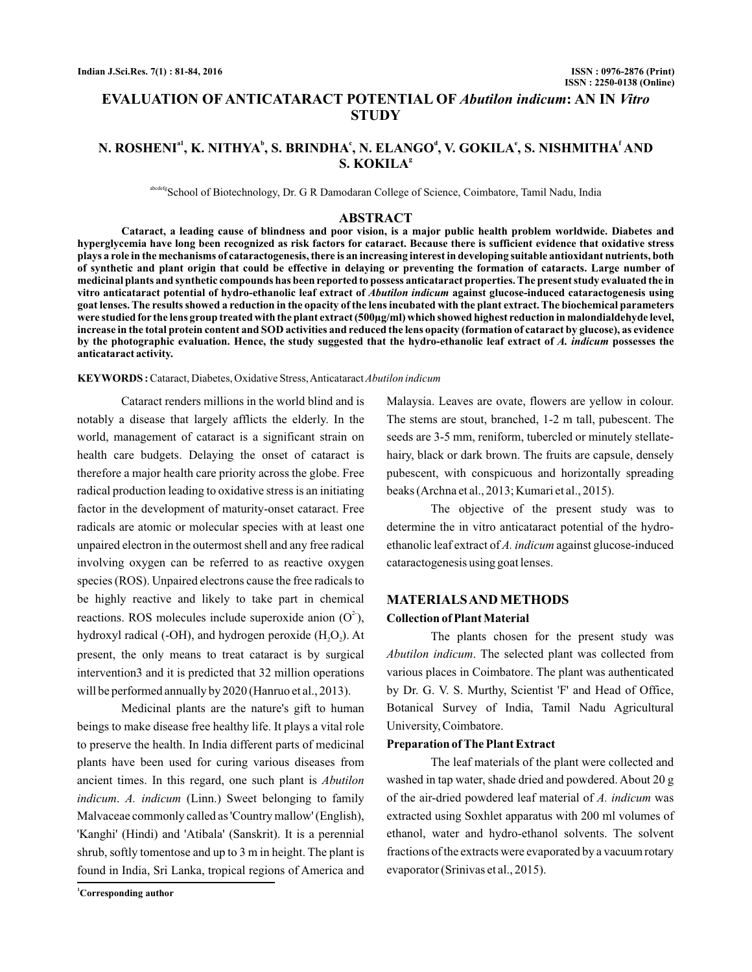# **EVALUATION OF ANTICATARACT POTENTIAL OF Abutilon indicum: AN IN Vitro STUDY**

### N. ROSHENIª<sup>1</sup>, K. NITHYA<sup>b</sup>, S. BRINDHAʿ, N. ELANGOʿ, V. GOKILAʿ, S. NISHMITHAʿ AND **S. KOKILA g**

abcdefgSchool of Biotechnology, Dr. G R Damodaran College of Science, Coimbatore, Tamil Nadu, India

#### **ABSTRACT**

**Cataract, a leading cause of blindness and poor vision, is a major public health problem worldwide. Diabetes and hyperglycemia have long been recognized as risk factors for cataract. Because there is sufficient evidence that oxidative stress plays a role in the mechanisms of cataractogenesis, there is an increasing interest in developing suitable antioxidant nutrients, both of synthetic and plant origin that could be effective in delaying or preventing the formation of cataracts. Large number of medicinal plants and synthetic compounds has been reported to possess anticataract properties. The present study evaluated the in** vitro anticataract potential of hydro-ethanolic leaf extract of *Abutilon indicum* against glucose-induced cataractogenesis using **goat lenses. The results showed a reduction in the opacity of the lens incubated with the plant extract. The biochemical parameters were studied for the lens group treated with the plant extract (500µg/ml) which showed highest reduction in malondialdehyde level, increase in the total protein content and SOD activities and reduced the lens opacity (formation of cataract by glucose), as evidence** by the photographic evaluation. Hence, the study suggested that the hydro-ethanolic leaf extract of A. indicum possesses the **anticataract activity.**

#### **KEYWORDS :** Cataract, Diabetes, Oxidative Stress,Anticataract*Abutilon indicum*

Cataract renders millions in the world blind and is notably a disease that largely afflicts the elderly. In the world, management of cataract is a significant strain on health care budgets. Delaying the onset of cataract is therefore a major health care priority across the globe. Free radical production leading to oxidative stress is an initiating factor in the development of maturity-onset cataract. Free radicals are atomic or molecular species with at least one unpaired electron in the outermost shell and any free radical involving oxygen can be referred to as reactive oxygen species (ROS). Unpaired electrons cause the free radicals to be highly reactive and likely to take part in chemical reactions. ROS molecules include superoxide anion  $(O<sup>2</sup>)$ , hydroxyl radical (-OH), and hydrogen peroxide  $(\mathrm{H}_{2}\mathrm{O}_{2})$ . At present, the only means to treat cataract is by surgical intervention3 and it is predicted that 32 million operations will be performed annually by 2020 (Hanruo et al., 2013).

Medicinal plants are the nature's gift to human beings to make disease free healthy life. It plays a vital role to preserve the health. In India different parts of medicinal plants have been used for curing various diseases from ancient times. In this regard, one such plant is *Abutilon* indicum. A. indicum (Linn.) Sweet belonging to family Malvaceae commonly called as 'Country mallow' (English), 'Kanghi' (Hindi) and 'Atibala' (Sanskrit). It is a perennial shrub, softly tomentose and up to 3 m in height. The plant is found in India, Sri Lanka, tropical regions of America and

Malaysia. Leaves are ovate, flowers are yellow in colour. The stems are stout, branched, 1-2 m tall, pubescent. The seeds are 3-5 mm, reniform, tubercled or minutely stellatehairy, black or dark brown. The fruits are capsule, densely pubescent, with conspicuous and horizontally spreading beaks (Archna et al., 2013; Kumari et al., 2015).

The objective of the present study was to determine the in vitro anticataract potential of the hydroethanolic leaf extract of A. indicum against glucose-induced cataractogenesis using goat lenses.

### **MATERIALSANDMETHODS Collection of PlantMaterial**

The plants chosen for the present study was Abutilon indicum. The selected plant was collected from various places in Coimbatore. The plant was authenticated by Dr. G. V. S. Murthy, Scientist 'F' and Head of Office, Botanical Survey of India, Tamil Nadu Agricultural University, Coimbatore.

#### **Preparation ofThe Plant Extract**

The leaf materials of the plant were collected and washed in tap water, shade dried and powdered. About 20 g of the air-dried powdered leaf material of A. indicum was extracted using Soxhlet apparatus with 200 ml volumes of ethanol, water and hydro-ethanol solvents. The solvent fractions of the extracts were evaporated by a vacuum rotary evaporator (Srinivas et al., 2015).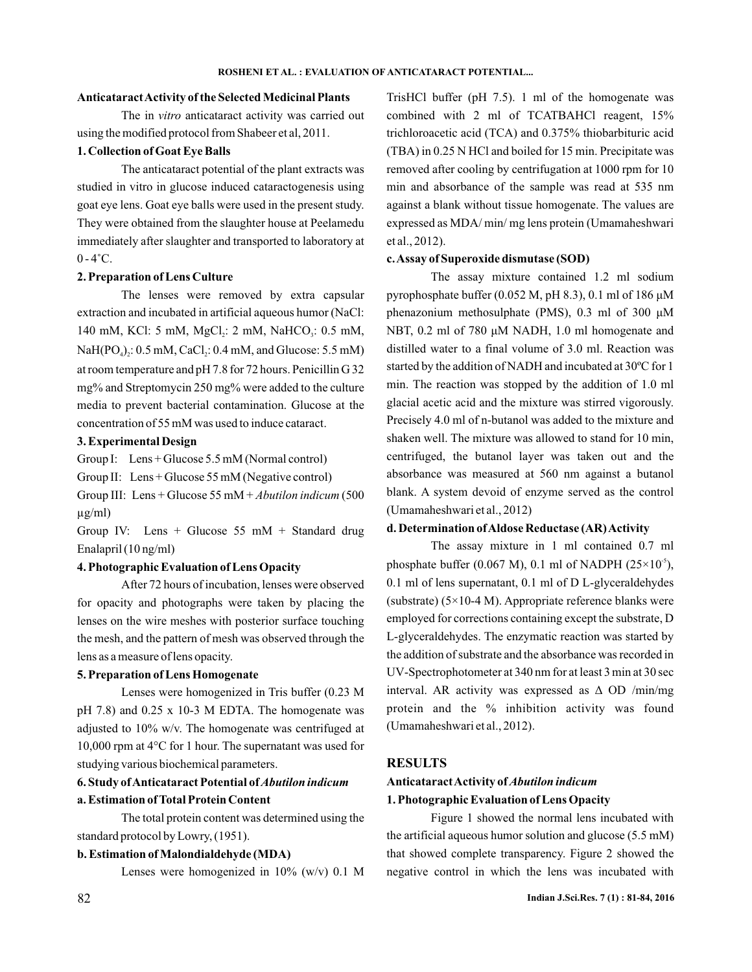#### **AnticataractActivity of the SelectedMedicinal Plants**

The in vitro anticataract activity was carried out using the modified protocol from Shabeer et al, 2011.

#### **1. Collection of Goat Eye Balls**

The anticataract potential of the plant extracts was studied in vitro in glucose induced cataractogenesis using goat eye lens. Goat eye balls were used in the present study. They were obtained from the slaughter house at Peelamedu immediately after slaughter and transported to laboratory at  $0 - 4$ °C.

#### **2. Preparation of Lens Culture**

The lenses were removed by extra capsular extraction and incubated in artificial aqueous humor (NaCl: 140 mM, KCl: 5 mM, MgCl<sub>2</sub>: 2 mM, NaHCO<sub>3</sub>: 0.5 mM,  $\text{NaH(PO}_4)_2$ : 0.5 mM, CaCl<sub>2</sub>: 0.4 mM, and Glucose: 5.5 mM) at room temperature and pH 7.8 for 72 hours. Penicillin G 32 mg% and Streptomycin 250 mg% were added to the culture media to prevent bacterial contamination. Glucose at the concentration of 55 mM was used to induce cataract.

#### **3. Experimental Design**

Group I: Lens + Glucose 5.5 mM (Normal control)

Group II: Lens + Glucose 55 mM (Negative control)

Group III: Lens + Glucose 55 mM + *Abutilon indicum* (500 µg/ml)

Group IV: Lens + Glucose 55 mM + Standard drug Enalapril (10 ng/ml)

#### **4. Photographic Evaluation of Lens Opacity**

After 72 hours of incubation, lenses were observed for opacity and photographs were taken by placing the lenses on the wire meshes with posterior surface touching the mesh, and the pattern of mesh was observed through the lens as a measure of lens opacity.

### **5. Preparation of Lens Homogenate**

Lenses were homogenized in Tris buffer (0.23 M pH 7.8) and 0.25 x 10-3 M EDTA. The homogenate was adjusted to 10% w/v. The homogenate was centrifuged at 10,000 rpm at 4°C for 1 hour. The supernatant was used for studying various biochemical parameters.

### **6. Study ofAnticataract Potential of** *Abutilon indicum*

#### **a. Estimation ofTotal Protein Content**

The total protein content was determined using the standard protocol by Lowry, (1951).

### **b. Estimation ofMalondialdehyde (MDA)**

Lenses were homogenized in 10% (w/v) 0.1 M

TrisHCl buffer (pH 7.5). 1 ml of the homogenate was combined with 2 ml of TCATBAHCl reagent, 15% trichloroacetic acid (TCA) and 0.375% thiobarbituric acid (TBA) in 0.25 N HCl and boiled for 15 min. Precipitate was removed after cooling by centrifugation at 1000 rpm for 10 min and absorbance of the sample was read at 535 nm against a blank without tissue homogenate. The values are expressed as MDA/ min/ mg lens protein (Umamaheshwari et al., 2012).

#### **c.Assay of Superoxide dismutase (SOD)**

The assay mixture contained 1.2 ml sodium pyrophosphate buffer (0.052 M, pH 8.3), 0.1 ml of 186 μM NBT, 0.2 ml of 780 μM NADH, 1.0 ml homogenate and distilled water to a final volume of 3.0 ml. Reaction was started by the addition of NADH and incubated at 30ºC for 1 min. The reaction was stopped by the addition of 1.0 ml glacial acetic acid and the mixture was stirred vigorously. Precisely 4.0 ml of n-butanol was added to the mixture and shaken well. The mixture was allowed to stand for 10 min, centrifuged, the butanol layer was taken out and the absorbance was measured at 560 nm against a butanol blank. A system devoid of enzyme served as the control (Umamaheshwari et al., 2012) phenazonium methosulphate (PMS), 0.3 ml of 300 μM

#### **d. Determination ofAldose Reductase (AR)Activity**

The assay mixture in 1 ml contained 0.7 ml phosphate buffer (0.067 M), 0.1 ml of NADPH (25 $\times$ 10<sup>-5</sup>), 0.1 ml of lens supernatant, 0.1 ml of D L-glyceraldehydes (substrate) (5×10-4 M). Appropriate reference blanks were employed for corrections containing except the substrate, D L-glyceraldehydes. The enzymatic reaction was started by the addition of substrate and the absorbance was recorded in UV -Spectrophotometer at 340 nm for at least 3 min at 30 sec protein and the % inhibition activity was found (Umamaheshwari et al., 2012). interval. AR activity was expressed as  $\Delta$  OD /min/mg

#### **RESULTS**

## **AnticataractActivity of** *Abutilon indicum* **1. Photographic Evaluation of Lens Opacity**

Figure 1 showed the normal lens incubated with the artificial aqueous humor solution and glucose (5.5 mM) that showed complete transparency. Figure 2 showed the negative control in which the lens was incubated with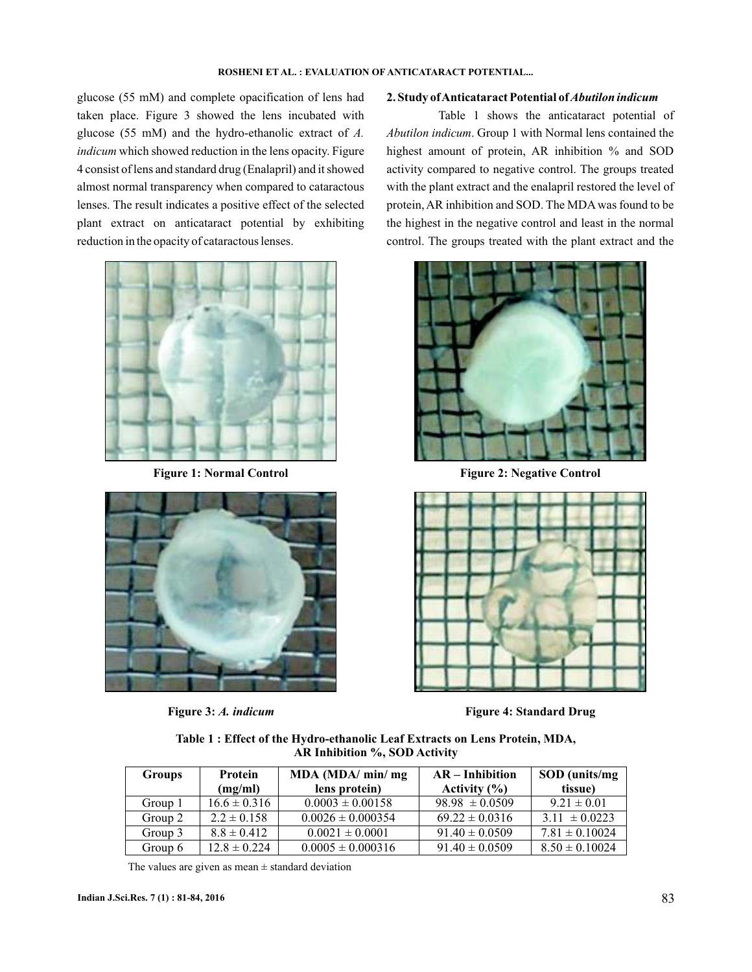glucose (55 mM) and complete opacification of lens had taken place. Figure 3 showed the lens incubated with glucose (55 mM) and the hydro-ethanolic extract of *A. indicum* which showed reduction in the lens opacity. Figure 4 consist of lens and standard drug (Enalapril) and it showed almost normal transparency when compared to cataractous lenses. The result indicates a positive effect of the selected plant extract on anticataract potential by exhibiting reduction in the opacity of cataractous lenses.





#### **2. Study ofAnticataract Potential of***Abutilon indicum*

Table 1 shows the anticataract potential of Abutilon indicum. Group 1 with Normal lens contained the highest amount of protein, AR inhibition % and SOD activity compared to negative control. The groups treated with the plant extract and the enalapril restored the level of protein, AR inhibition and SOD. The MDA was found to be the highest in the negative control and least in the normal control. The groups treated with the plant extract and the



Figure 1: Normal Control **Figure 2: Negative Control** 



**Figure 3:** *A. indicum* **Figure 4: Standard Drug**

| Table 1 : Effect of the Hydro-ethanolic Leaf Extracts on Lens Protein, MDA, |  |
|-----------------------------------------------------------------------------|--|
| AR Inhibition %, SOD Activity                                               |  |

| <b>Groups</b> | <b>Protein</b><br>(mg/ml) | MDA (MDA/ min/ mg<br>lens protein) | $AR$ – Inhibition<br>Activity $(\% )$ | SOD (units/mg)<br>tissue) |
|---------------|---------------------------|------------------------------------|---------------------------------------|---------------------------|
| Group 1       | $16.6 \pm 0.316$          | $0.0003 \pm 0.00158$               | $98.98 \pm 0.0509$                    | $9.21 \pm 0.01$           |
| Group 2       | $2.2 \pm 0.158$           | $0.0026 \pm 0.000354$              | $69.22 \pm 0.0316$                    | $3.11 \pm 0.0223$         |
| Group 3       | $8.8 \pm 0.412$           | $0.0021 \pm 0.0001$                | $91.40 \pm 0.0509$                    | $7.81 \pm 0.10024$        |
| Group 6       | $12.8 \pm 0.224$          | $0.0005 \pm 0.000316$              | $91.40 \pm 0.0509$                    | $8.50 \pm 0.10024$        |

The values are given as mean  $\pm$  standard deviation